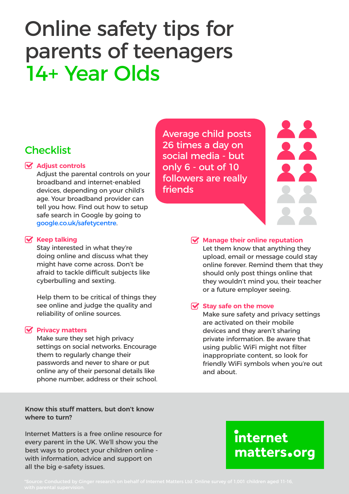# Online safety tips for parents of teenagers 14+ Year Olds

# **Checklist**

#### **Adjust controls**

Adjust the parental controls on your broadband and internet-enabled devices, depending on your child's age. Your broadband provider can tell you how. Find out how to setup safe search in Google by going to google.co.uk/safetycentre.

#### **Keep talking**

Stay interested in what they're doing online and discuss what they might have come across. Don't be afraid to tackle difficult subjects like cyberbulling and sexting.

Help them to be critical of things they see online and judge the quality and reliability of online sources.

#### **Privacy matters**

Make sure they set high privacy settings on social networks. Encourage them to regularly change their passwords and never to share or put online any of their personal details like phone number, address or their school.

**Know this stuff matters, but don't know where to turn?**

Internet Matters is a free online resource for every parent in the UK. We'll show you the best ways to protect your children online with information, advice and support on all the big e-safety issues.

Average child posts 26 times a day on social media - but only 6 - out of 10 followers are really friends



#### **Manage their online reputation**

Let them know that anything they upload, email or message could stay online forever. Remind them that they should only post things online that they wouldn't mind you, their teacher or a future employer seeing.

#### **Stay safe on the move**

Make sure safety and privacy settings are activated on their mobile devices and they aren't sharing private information. Be aware that using public WiFi might not filter inappropriate content, so look for friendly WiFi symbols when you're out and about.

# internet matters.org